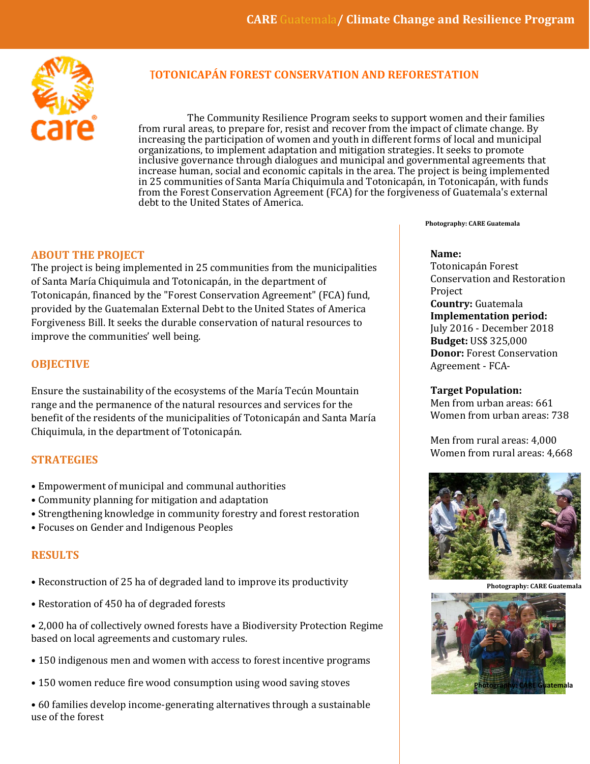

## **OTONICAPÁN FOREST CONSERVATION AND REFORESTATION**

The Community Resilience Program seeks to support women and their families from rural areas, to prepare for, resist and recover from the impact of climate change. By increasing the participation of women and youth in different forms of local and municipal organizations, to implement adaptation and mitigation strategies. It seeks to promote inclusive governance through dialogues and municipal and governmental agreements that increase human, social and economic capitals in the area. The project is being implemented in 25 communities of Santa María Chiquimula and Totonicapán, in Totonicapán, with funds from the Forest Conservation Agreement (FCA) for the forgiveness of Guatemala's external debt to the United States of America.

## **ABOUT THE PROJECT**

The project is being implemented in 25 communities from the municipalities of Santa María Chiquimula and Totonicapán, in the department of Totonicapán, financed by the "Forest Conservation Agreement" (FCA) fund, provided by the Guatemalan External Debt to the United States of America Forgiveness Bill. It seeks the durable conservation of natural resources to improve the communities' well being.

### **OBJECTIVE**

Ensure the sustainability of the ecosystems of the María Tecún Mountain range and the permanence of the natural resources and services for the benefit of the residents of the municipalities of Totonicapán and Santa María Chiquimula, in the department of Totonicapán.

### **STRATEGIES**

- Empowerment of municipal and communal authorities
- Community planning for mitigation and adaptation
- Strengthening knowledge in community forestry and forest restoration
- Focuses on Gender and Indigenous Peoples

### **RESULTS**

- Reconstruction of 25 ha of degraded land to improve its productivity
- Restoration of 450 ha of degraded forests
- 2,000 ha of collectively owned forests have a Biodiversity Protection Regime based on local agreements and customary rules.
- 150 indigenous men and women with access to forest incentive programs
- 150 women reduce fire wood consumption using wood saving stoves

• 60 families develop income-generating alternatives through a sustainable use of the forest

#### **Photography: CARE Guatemala**

### **Name:**

Totonicapán Forest Conservation and Restoration Project

**Country:** Guatemala **Implementation period:**  July 2016 - December 2018 **Budget:** US\$ 325,000 **Donor:** Forest Conservation Agreement - FCA-

### **Target Population:**

Men from urban areas: 661 Women from urban areas: 738

Men from rural areas: 4,000 Women from rural areas: 4,668



**Photography: CARE Guatemala**